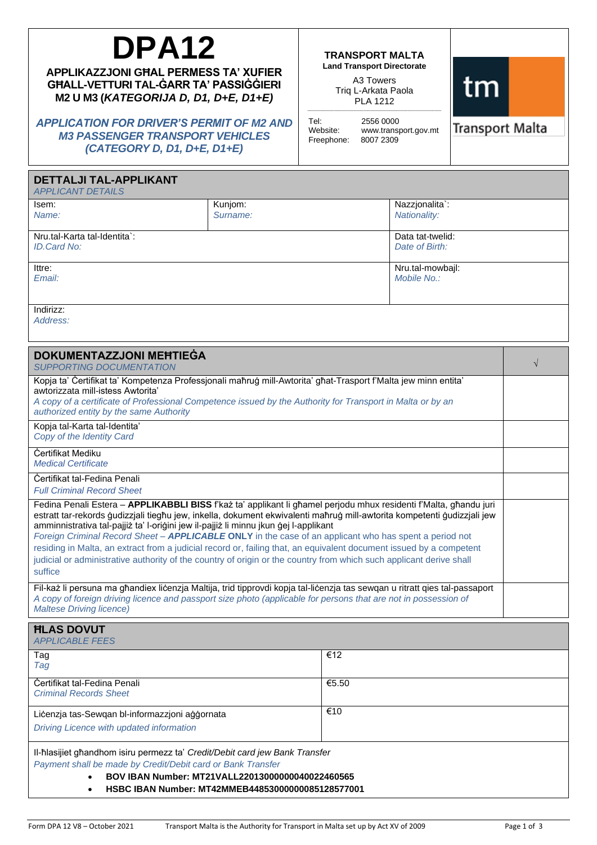# **DPA12**

**APPLIKAZZJONI GĦAL PERMESS TA' XUFIER GĦALL-VETTURI TAL-ĠARR TA' PASSIĠĠIERI M2 U M3 (***KATEGORIJA D, D1, D+E, D1+E)*

*APPLICATION FOR DRIVER'S PERMIT OF M2 AND M3 PASSENGER TRANSPORT VEHICLES (CATEGORY D, D1, D+E, D1+E)*

#### **TRANSPORT MALTA Land Transport Directorate**

A3 Towers Triq L-Arkata Paola PLA 1212 \_\_\_\_\_\_\_\_\_\_\_\_\_\_\_\_\_\_\_\_\_\_\_\_\_\_\_\_\_\_\_\_\_\_\_\_\_\_\_\_\_\_\_\_\_\_\_\_\_\_\_\_\_\_\_\_\_\_\_\_

Tel: 2556 0000<br>Website: www.transr www.transport.gov.mt<br>8007 2309 Freephone:



**Transport Malta** 

| <b>DETTALJI TAL-APPLIKANT</b><br><b>APPLICANT DETAILS</b>                                                                                                                                                                                                                                                                                                                                                                                                                                                                                                                                                                                                                                               |          |       |                                 |           |
|---------------------------------------------------------------------------------------------------------------------------------------------------------------------------------------------------------------------------------------------------------------------------------------------------------------------------------------------------------------------------------------------------------------------------------------------------------------------------------------------------------------------------------------------------------------------------------------------------------------------------------------------------------------------------------------------------------|----------|-------|---------------------------------|-----------|
| lsem:                                                                                                                                                                                                                                                                                                                                                                                                                                                                                                                                                                                                                                                                                                   | Kunjom:  |       | Nazzjonalita`:                  |           |
| Name:                                                                                                                                                                                                                                                                                                                                                                                                                                                                                                                                                                                                                                                                                                   | Surname: |       | <b>Nationality:</b>             |           |
| Nru.tal-Karta tal-Identita`:<br>Data tat-twelid:<br>ID.Card No:<br>Date of Birth:                                                                                                                                                                                                                                                                                                                                                                                                                                                                                                                                                                                                                       |          |       |                                 |           |
| lttre:<br>Email:                                                                                                                                                                                                                                                                                                                                                                                                                                                                                                                                                                                                                                                                                        |          |       | Nru.tal-mowbajl:<br>Mobile No.: |           |
| Indirizz:<br>Address:                                                                                                                                                                                                                                                                                                                                                                                                                                                                                                                                                                                                                                                                                   |          |       |                                 |           |
| <b>DOKUMENTAZZJONI MEHTIEGA</b><br><b>SUPPORTING DOCUMENTATION</b>                                                                                                                                                                                                                                                                                                                                                                                                                                                                                                                                                                                                                                      |          |       |                                 | $\sqrt{}$ |
| Kopja ta' Čertifikat ta' Kompetenza Professjonali maħruġ mill-Awtorita' għat-Trasport f'Malta jew minn entita'<br>awtorizzata mill-istess Awtorita'<br>A copy of a certificate of Professional Competence issued by the Authority for Transport in Malta or by an<br>authorized entity by the same Authority                                                                                                                                                                                                                                                                                                                                                                                            |          |       |                                 |           |
| Kopja tal-Karta tal-Identita'<br>Copy of the Identity Card                                                                                                                                                                                                                                                                                                                                                                                                                                                                                                                                                                                                                                              |          |       |                                 |           |
| <b>Certifikat Mediku</b><br><b>Medical Certificate</b>                                                                                                                                                                                                                                                                                                                                                                                                                                                                                                                                                                                                                                                  |          |       |                                 |           |
| Certifikat tal-Fedina Penali<br><b>Full Criminal Record Sheet</b>                                                                                                                                                                                                                                                                                                                                                                                                                                                                                                                                                                                                                                       |          |       |                                 |           |
| Fedina Penali Estera - APPLIKABBLI BISS f'każ ta' applikant li għamel perjodu mhux residenti f'Malta, għandu juri<br>estratt tar-rekords ģudizzjali tiegħu jew, inkella, dokument ekwivalenti maħruġ mill-awtorita kompetenti ģudizzjali jew<br>amminnistrativa tal-pajjiż ta' l-oriģini jew il-pajjiż li minnu jkun ģej l-applikant<br>Foreign Criminal Record Sheet - APPLICABLE ONLY in the case of an applicant who has spent a period not<br>residing in Malta, an extract from a judicial record or, failing that, an equivalent document issued by a competent<br>judicial or administrative authority of the country of origin or the country from which such applicant derive shall<br>suffice |          |       |                                 |           |
| Fil-każ li persuna ma għandiex licenzja Maltija, trid tipprovdi kopja tal-licenzja tas sewqan u ritratt qies tal-passaport<br>A copy of foreign driving licence and passport size photo (applicable for persons that are not in possession of<br><b>Maltese Driving licence)</b>                                                                                                                                                                                                                                                                                                                                                                                                                        |          |       |                                 |           |
| <b>HLAS DOVUT</b><br><b>APPLICABLE FEES</b>                                                                                                                                                                                                                                                                                                                                                                                                                                                                                                                                                                                                                                                             |          |       |                                 |           |
| Tag<br>Tag                                                                                                                                                                                                                                                                                                                                                                                                                                                                                                                                                                                                                                                                                              |          | €12   |                                 |           |
| Certifikat tal-Fedina Penali<br><b>Criminal Records Sheet</b>                                                                                                                                                                                                                                                                                                                                                                                                                                                                                                                                                                                                                                           |          | €5.50 |                                 |           |
| Licenzja tas-Sewqan bl-informazzjoni aggornata<br>Driving Licence with updated information                                                                                                                                                                                                                                                                                                                                                                                                                                                                                                                                                                                                              |          | €10   |                                 |           |
| Il-hlasijiet ghandhom isiru permezz ta' Credit/Debit card jew Bank Transfer<br>Payment shall be made by Credit/Debit card or Bank Transfer<br>BOV IBAN Number: MT21VALL22013000000040022460565<br>HSBC IBAN Number: MT42MMEB44853000000085128577001                                                                                                                                                                                                                                                                                                                                                                                                                                                     |          |       |                                 |           |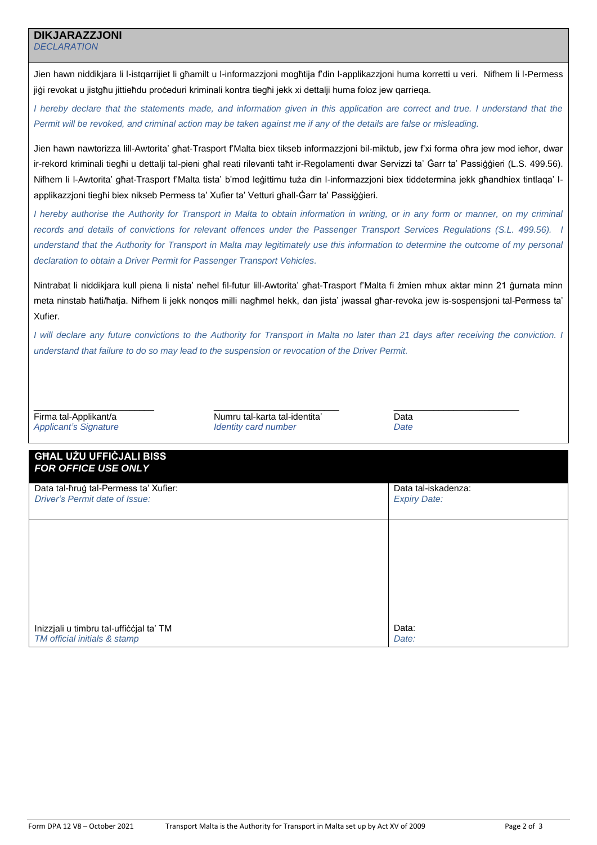# **DIKJARAZZJONI**

*DECLARATION*

Jien hawn niddikjara li l-istqarrijiet li għamilt u l-informazzjoni mogħtija f'din l-applikazzjoni huma korretti u veri. Nifhem li l-Permess jiġi revokat u jistgħu jittieħdu proċeduri kriminali kontra tiegħi jekk xi dettalji huma foloz jew qarrieqa.

*I* hereby declare that the statements made, and information given in this application are correct and true. I understand that the *Permit will be revoked, and criminal action may be taken against me if any of the details are false or misleading.*

Jien hawn nawtorizza lill-Awtorita' għat-Trasport f'Malta biex tikseb informazzjoni bil-miktub, jew f'xi forma oħra jew mod ieħor, dwar ir-rekord kriminali tiegħi u dettalji tal-pieni għal reati rilevanti taħt ir-Regolamenti dwar Servizzi ta' Ġarr ta' Passiġġieri (L.S. 499.56). Nifhem li l-Awtorita' għat-Trasport f'Malta tista' b'mod leġittimu tuża din l-informazzjoni biex tiddetermina jekk għandhiex tintlaqa' lapplikazzjoni tiegħi biex nikseb Permess ta' Xufier ta' Vetturi għall-Ġarr ta' Passiġġieri.

*I* hereby authorise the Authority for Transport in Malta to obtain information in writing, or in any form or manner, on my criminal *records and details of convictions for relevant offences under the Passenger Transport Services Regulations (S.L. 499.56). I understand that the Authority for Transport in Malta may legitimately use this information to determine the outcome of my personal declaration to obtain a Driver Permit for Passenger Transport Vehicles.*

Nintrabat li niddikiara kull piena li nista' neħel fil-futur lill-Awtorita' għat-Trasport f'Malta fi żmien mhux aktar minn 21 ġurnata minn meta ninstab ħati/ħatja. Nifhem li jekk nonqos milli nagħmel hekk, dan jista' jwassal għar-revoka jew is-sospensjoni tal-Permess ta' Xufier.

*I will declare any future convictions to the Authority for Transport in Malta no later than 21 days after receiving the conviction. I understand that failure to do so may lead to the suspension or revocation of the Driver Permit.*

Firma tal-Applikant/a *Applicant's Signature*

\_\_\_\_\_\_\_\_\_\_\_\_\_\_\_\_\_\_\_\_\_\_\_\_

\_\_\_\_\_\_\_\_\_\_\_\_\_\_\_\_\_\_\_\_\_\_\_\_\_ Numru tal-karta tal-identita' *Identity card number*

\_\_\_\_\_\_\_\_\_\_\_\_\_\_\_\_\_\_\_\_\_\_\_\_\_ Data *Date*

| <b>GHAL UŻU UFFIĊJALI BISS</b><br><b>FOR OFFICE USE ONLY</b>            |                                            |  |  |  |
|-------------------------------------------------------------------------|--------------------------------------------|--|--|--|
| Data tal-ħruġ tal-Permess ta' Xufier:<br>Driver's Permit date of Issue: | Data tal-iskadenza:<br><b>Expiry Date:</b> |  |  |  |
|                                                                         |                                            |  |  |  |
|                                                                         |                                            |  |  |  |
|                                                                         |                                            |  |  |  |
| Inizzjali u timbru tal-ufficcjal ta' TM<br>TM official initials & stamp | Data:<br>Date:                             |  |  |  |